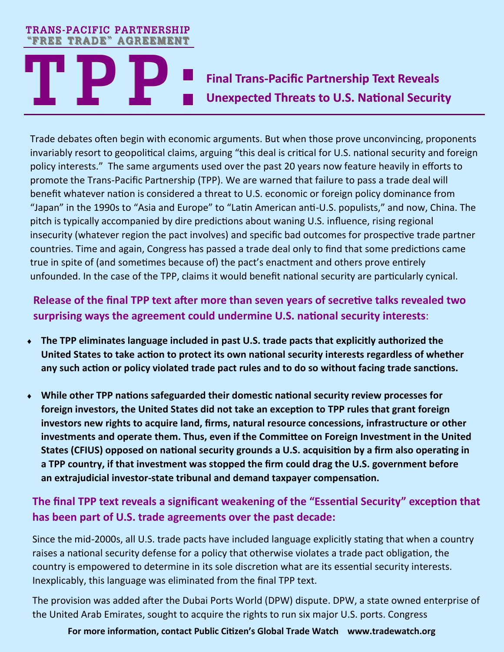# **TREE TRADE" AGREEMENT**<br>
Final Trans-Pacific Partnership Text Reveals<br> **Trade debates often begin with economic arguments. But when those prove unconvincing, prop Unexpected Threats to U.S. National Security TRANS-PACIFIC PARTNERSHIP "FREE TRADE" AGREEMENT**

Trade debates often begin with economic arguments. But when those prove unconvincing, proponents invariably resort to geopolitical claims, arguing "this deal is critical for U.S. national security and foreign policy interests." The same arguments used over the past 20 years now feature heavily in efforts to promote the Trans-Pacific Partnership (TPP). We are warned that failure to pass a trade deal will benefit whatever nation is considered a threat to U.S. economic or foreign policy dominance from "Japan" in the 1990s to "Asia and Europe" to "Latin American anti-U.S. populists," and now, China. The pitch is typically accompanied by dire predictions about waning U.S. influence, rising regional insecurity (whatever region the pact involves) and specific bad outcomes for prospective trade partner countries. Time and again, Congress has passed a trade deal only to find that some predictions came true in spite of (and sometimes because of) the pact's enactment and others prove entirely unfounded. In the case of the TPP, claims it would benefit national security are particularly cynical.

# **Release of the final TPP text after more than seven years of secretive talks revealed two surprising ways the agreement could undermine U.S. national security interests**:

- **The TPP eliminates language included in past U.S. trade pacts that explicitly authorized the United States to take action to protect its own national security interests regardless of whether any such action or policy violated trade pact rules and to do so without facing trade sanctions.**
- **While other TPP nations safeguarded their domestic national security review processes for foreign investors, the United States did not take an exception to TPP rules that grant foreign investors new rights to acquire land, firms, natural resource concessions, infrastructure or other investments and operate them. Thus, even if the Committee on Foreign Investment in the United States (CFIUS) opposed on national security grounds a U.S. acquisition by a firm also operating in a TPP country, if that investment was stopped the firm could drag the U.S. government before an extrajudicial investor-state tribunal and demand taxpayer compensation.**

## **The final TPP text reveals a significant weakening of the "Essential Security" exception that has been part of U.S. trade agreements over the past decade:**

Since the mid-2000s, all U.S. trade pacts have included language explicitly stating that when a country raises a national security defense for a policy that otherwise violates a trade pact obligation, the country is empowered to determine in its sole discretion what are its essential security interests. Inexplicably, this language was eliminated from the final TPP text.

The provision was added after the Dubai Ports World (DPW) dispute. DPW, a state owned enterprise of the United Arab Emirates, sought to acquire the rights to run six major U.S. ports. Congress

#### **For more information, contact Public Citizen's Global Trade Watch www.tradewatch.org**